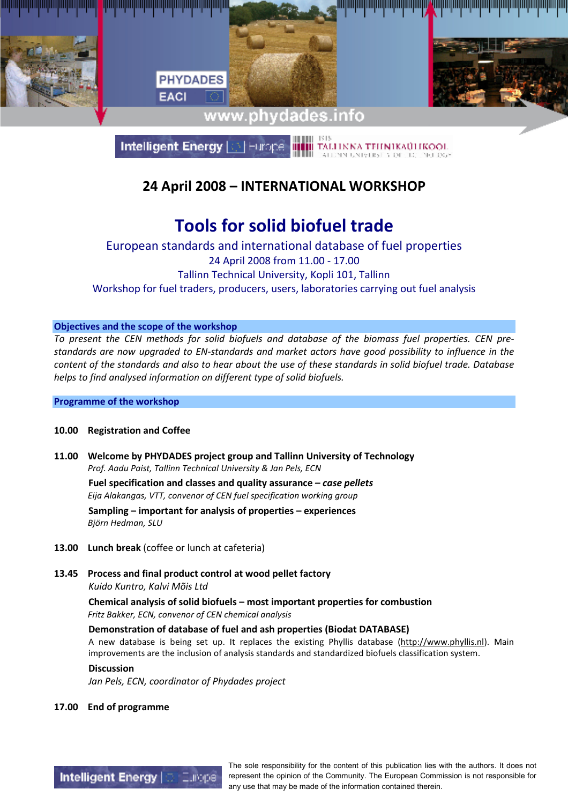

**Intelligent Energy** TALHNNA TEHNIKAÜLIKOOL

### 24 April 2008 – INTERNATIONAL WORKSHOP

## Tools for solid biofuel trade

European standards and international database of fuel properties 24 April 2008 from 11.00 - 17.00 Tallinn Technical University, Kopli 101, Tallinn Workshop for fuel traders, producers, users, laboratories carrying out fuel analysis

#### Objectives and the scope of the workshop

To present the CEN methods for solid biofuels and database of the biomass fuel properties. CEN prestandards are now upgraded to EN-standards and market actors have good possibility to influence in the content of the standards and also to hear about the use of these standards in solid biofuel trade. Database helps to find analysed information on different type of solid biofuels.

#### Programme of the workshop

#### 10.00 Registration and Coffee

11.00 Welcome by PHYDADES project group and Tallinn University of Technology Prof. Aadu Paist, Tallinn Technical University & Jan Pels, ECN

Fuel specification and classes and quality assurance  $-\cos\theta$  pellets Eija Alakangas, VTT, convenor of CEN fuel specification working group Sampling – important for analysis of properties – experiences Björn Hedman, SLU

- 13.00 Lunch break (coffee or lunch at cafeteria)
- 13.45 Process and final product control at wood pellet factory Kuido Kuntro, Kalvi Mõis Ltd

Chemical analysis of solid biofuels – most important properties for combustion Fritz Bakker, ECN, convenor of CEN chemical analysis

Demonstration of database of fuel and ash properties (Biodat DATABASE)

A new database is being set up. It replaces the existing Phyllis database (http://www.phyllis.nl). Main improvements are the inclusion of analysis standards and standardized biofuels classification system.

#### Discussion

Jan Pels, ECN, coordinator of Phydades project

17.00 End of programme